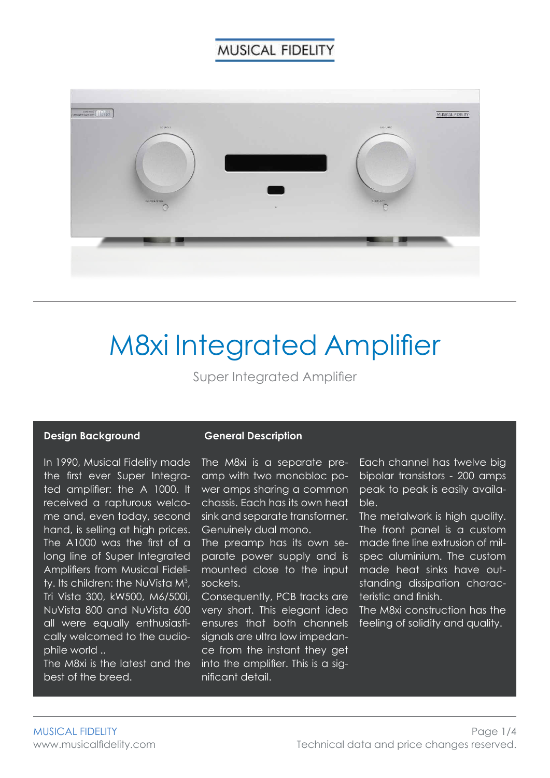

# M8xi Integrated Amplifier

Super Integrated Amplifier

#### **Design Background**

#### **General Description**

In 1990, Musical Fidelity made the first ever Super Integrated amplifier: the A 1000. lt received a rapturous welcome and, even today, second hand, is selling at high prices. The  $A1000$  was the first of  $\alpha$ long line of Super Integrated Amplifiers from Musical Fidelity. Its children: the NuVista M $3$ , Tri Vista 300, kW500, M6/500i, NuVista 800 and NuVista 600 all were equally enthusiastically welcomed to the audiophile world ..

The M8xi is the latest and the best of the breed.

The M8xi is a separate preamp with two monobloc power amps sharing a common chassis. Each has its own heat sink and separate transforrner. Genuinely dual mono.

The preamp has its own separate power supply and is mounted close to the input sockets.

Consequently, PCB tracks are very short. This elegant idea ensures that both channels signals are ultra low impedance from the instant they get into the amplifier. This is a significant detail.

Each channel has twelve big bipolar transistors - 200 amps peak to peak is easily available.

The metalwork is high quality. The front panel is a custom made fine line extrusion of milspec aluminium. The custom made heat sinks have outstanding dissipation characteristic and finish.

The M8xi construction has the feeling of solidity and quality.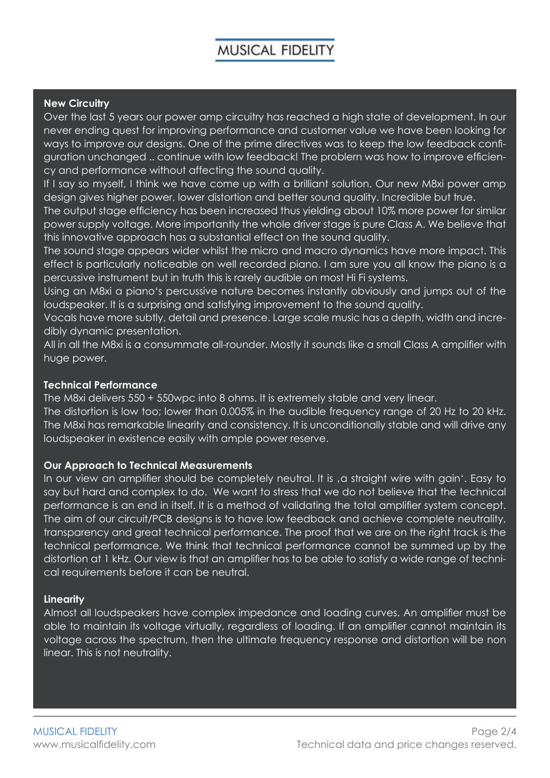#### **New Circuitry**

Over the last 5 years our power amp circuitry has reached a high state of development. In our never ending quest for improving performance and customer value we have been looking for ways to improve our designs. One of the prime directives was to keep the low feedback configuration unchanged .. continue with low feedback! The problern was how to improve efficiency and performance without affecting the sound quality.

If I say so myself, I think we have come up with a brilliant solution. Our new M8xi power amp design gives higher power, lower distortion and better sound quality. Incredible but true.

The output stage efficiency has been increased thus yielding about 10% more power for similar power supply voltage. More importantly the whole driver stage is pure Class A. We believe that this innovative approach has a substantial effect on the sound quality.

The sound stage appears wider whilst the micro and macro dynamics have more impact. This effect is particularly noticeable on well recorded piano. I am sure you all know the piano is a percussive instrument but in truth this is rarely audible on most Hi Fi systems.

Using an M8xi a piano's percussive nature becomes instantly obviously and jumps out of the loudspeaker. lt is a surprising and satisfying improvement to the sound quality.

Vocals have more subtly, detail and presence. Large scale music has a depth, width and incredibly dynamic presentation.

All in all the M8xi is a consummate all-rounder. Mostly it sounds like a small Class A amplifier with huge power.

#### **Technical Performance**

The M8xi delivers 550 + 550wpc into 8 ohms. It is extremely stable and very linear.

The distortion is low too; lower than 0.005% in the audible frequency range of 20 Hz to 20 kHz. The M8xi has remarkable linearity and consistency. lt is unconditionally stable and will drive any loudspeaker in existence easily with ample power reserve.

#### **Our Approach to Technical Measurements**

In our view an amplifier should be completely neutral. It is , a straight wire with gain'. Easy to say but hard and complex to do. We want to stress that we do not believe that the technical performance is an end in itself. lt is a method of validating the total amplifier system concept. The aim of our circuit/PCB designs is to have low feedback and achieve complete neutrality, transparency and great technical performance. The proof that we are on the right track is the technical performance. We think that technical performance cannot be summed up by the distortion at 1 kHz. Our view is that an amplifier has to be able to satisfy a wide range of technical requirements before it can be neutral.

#### **Linearity**

Almost all loudspeakers have complex impedance and Ioading curves. An amplifier must be able to maintain its voltage virtually, regardless of loading. If an amplifier cannot maintain its voltage across the spectrum, then the ultimate frequency response and distortion will be non linear. This is not neutrality.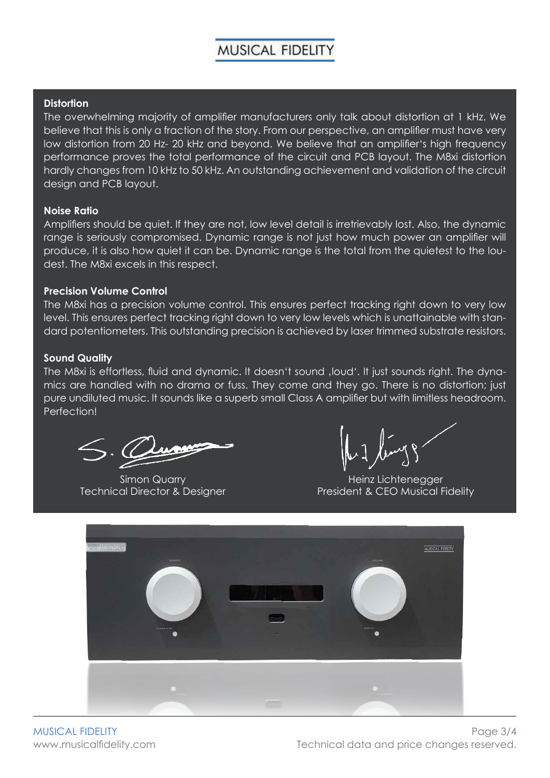#### **Distortion**

The overwhelming majority of amplifier manufacturers only talk about distortion at 1 kHz. We believe that this is only a fraction of the story. From our perspective, an amplifier must have very low distortion from 20 Hz- 20 kHz and beyond. We believe that an amplifier's high frequency performance proves the total performance of the circuit and PCB layout. The M8xi distortion hardly changes from 10 kHz to 50 kHz. An outstanding achievement and validation of the circuit design and PCB layout.

#### **Noise Ratio**

Amplifiers should be quiet. lf they are not, low level detail is irretrievably lost. Also, the dynamic range is seriously compromised. Dynamic range is not just how much power an amplifier will produce, it is also how quiet it can be. Dynamic range is the total from the quietest to the loudest. The M8xi excels in this respect.

#### **Precision Volume Control**

The M8xi has a precision volume control. This ensures perfect tracking right down to very low level. This ensures perfect tracking right down to very low levels which is unattainable with standard potentiometers. This outstanding precision is achieved by laser trimmed substrate resistors.

#### **Sound Quality**

The M8xi is effortless, fluid and dynamic. It doesn't sound , loud'. It just sounds right. The dynamics are handled with no drama or fuss. They come and they go. There is no distortion; just pure undiluted music. lt sounds like a superb small Class A amplifier but with limitless headroom. Perfection!

Simon Quarry Technical Director & Designer

Heinz Lichtenegger President & CEO Musical Fidelity



MUSICAL FIDELITY www.musicalfidelity.com